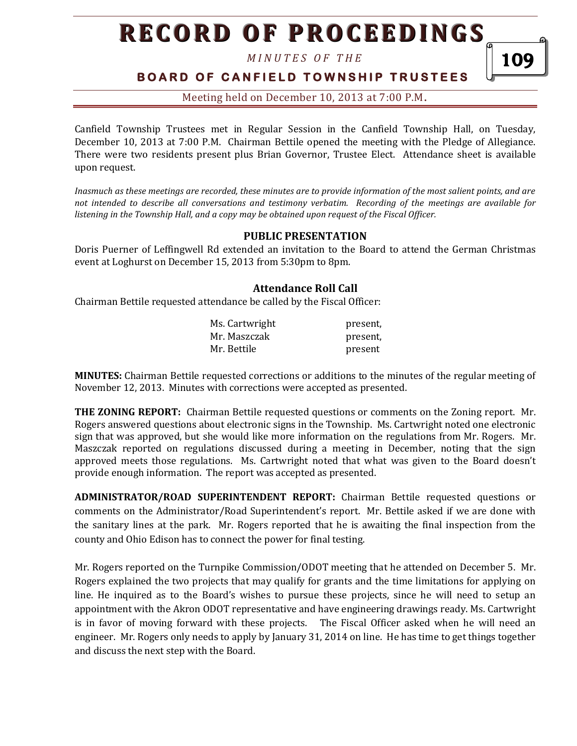*M I N U T E S O F T H E* 

## **B O A R D O F C A N F I E L D T O W N S H I P T R U S T E E S**

109

Meeting held on December 10, 2013 at 7:00 P.M**.**

Canfield Township Trustees met in Regular Session in the Canfield Township Hall, on Tuesday, December 10, 2013 at 7:00 P.M. Chairman Bettile opened the meeting with the Pledge of Allegiance. There were two residents present plus Brian Governor, Trustee Elect. Attendance sheet is available upon request.

*Inasmuch as these meetings are recorded, these minutes are to provide information of the most salient points, and are not intended to describe all conversations and testimony verbatim. Recording of the meetings are available for listening in the Township Hall, and a copy may be obtained upon request of the Fiscal Officer.* 

### **PUBLIC PRESENTATION**

Doris Puerner of Leffingwell Rd extended an invitation to the Board to attend the German Christmas event at Loghurst on December 15, 2013 from 5:30pm to 8pm.

### **Attendance Roll Call**

Chairman Bettile requested attendance be called by the Fiscal Officer:

| Ms. Cartwright | present, |
|----------------|----------|
| Mr. Maszczak   | present, |
| Mr. Bettile    | present  |

**MINUTES:** Chairman Bettile requested corrections or additions to the minutes of the regular meeting of November 12, 2013. Minutes with corrections were accepted as presented.

**THE ZONING REPORT:** Chairman Bettile requested questions or comments on the Zoning report. Mr. Rogers answered questions about electronic signs in the Township. Ms. Cartwright noted one electronic sign that was approved, but she would like more information on the regulations from Mr. Rogers. Mr. Maszczak reported on regulations discussed during a meeting in December, noting that the sign approved meets those regulations. Ms. Cartwright noted that what was given to the Board doesn't provide enough information. The report was accepted as presented.

**ADMINISTRATOR/ROAD SUPERINTENDENT REPORT:** Chairman Bettile requested questions or comments on the Administrator/Road Superintendent's report. Mr. Bettile asked if we are done with the sanitary lines at the park. Mr. Rogers reported that he is awaiting the final inspection from the county and Ohio Edison has to connect the power for final testing.

Mr. Rogers reported on the Turnpike Commission/ODOT meeting that he attended on December 5. Mr. Rogers explained the two projects that may qualify for grants and the time limitations for applying on line. He inquired as to the Board's wishes to pursue these projects, since he will need to setup an appointment with the Akron ODOT representative and have engineering drawings ready. Ms. Cartwright is in favor of moving forward with these projects. The Fiscal Officer asked when he will need an engineer. Mr. Rogers only needs to apply by January 31, 2014 on line. He has time to get things together and discuss the next step with the Board.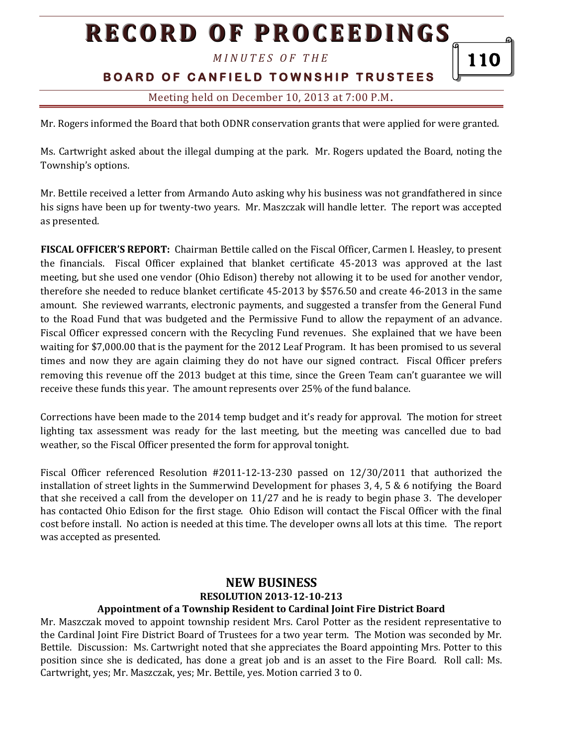*M I N U T E S O F T H E* 

110

## **B O A R D O F C A N F I E L D T O W N S H I P T R U S T E E S**

Meeting held on December 10, 2013 at 7:00 P.M**.**

Mr. Rogers informed the Board that both ODNR conservation grants that were applied for were granted.

Ms. Cartwright asked about the illegal dumping at the park. Mr. Rogers updated the Board, noting the Township's options.

Mr. Bettile received a letter from Armando Auto asking why his business was not grandfathered in since his signs have been up for twenty-two years. Mr. Maszczak will handle letter. The report was accepted as presented.

**FISCAL OFFICER'S REPORT:** Chairman Bettile called on the Fiscal Officer, Carmen I. Heasley, to present the financials. Fiscal Officer explained that blanket certificate 45-2013 was approved at the last meeting, but she used one vendor (Ohio Edison) thereby not allowing it to be used for another vendor, therefore she needed to reduce blanket certificate 45-2013 by \$576.50 and create 46-2013 in the same amount. She reviewed warrants, electronic payments, and suggested a transfer from the General Fund to the Road Fund that was budgeted and the Permissive Fund to allow the repayment of an advance. Fiscal Officer expressed concern with the Recycling Fund revenues. She explained that we have been waiting for \$7,000.00 that is the payment for the 2012 Leaf Program. It has been promised to us several times and now they are again claiming they do not have our signed contract. Fiscal Officer prefers removing this revenue off the 2013 budget at this time, since the Green Team can't guarantee we will receive these funds this year. The amount represents over 25% of the fund balance.

Corrections have been made to the 2014 temp budget and it's ready for approval. The motion for street lighting tax assessment was ready for the last meeting, but the meeting was cancelled due to bad weather, so the Fiscal Officer presented the form for approval tonight.

Fiscal Officer referenced Resolution #2011-12-13-230 passed on 12/30/2011 that authorized the installation of street lights in the Summerwind Development for phases 3, 4, 5 & 6 notifying the Board that she received a call from the developer on 11/27 and he is ready to begin phase 3. The developer has contacted Ohio Edison for the first stage. Ohio Edison will contact the Fiscal Officer with the final cost before install. No action is needed at this time. The developer owns all lots at this time. The report was accepted as presented.

## **NEW BUSINESS RESOLUTION 2013-12-10-213**

#### **Appointment of a Township Resident to Cardinal Joint Fire District Board**

Mr. Maszczak moved to appoint township resident Mrs. Carol Potter as the resident representative to the Cardinal Joint Fire District Board of Trustees for a two year term. The Motion was seconded by Mr. Bettile. Discussion: Ms. Cartwright noted that she appreciates the Board appointing Mrs. Potter to this position since she is dedicated, has done a great job and is an asset to the Fire Board. Roll call: Ms. Cartwright, yes; Mr. Maszczak, yes; Mr. Bettile, yes. Motion carried 3 to 0.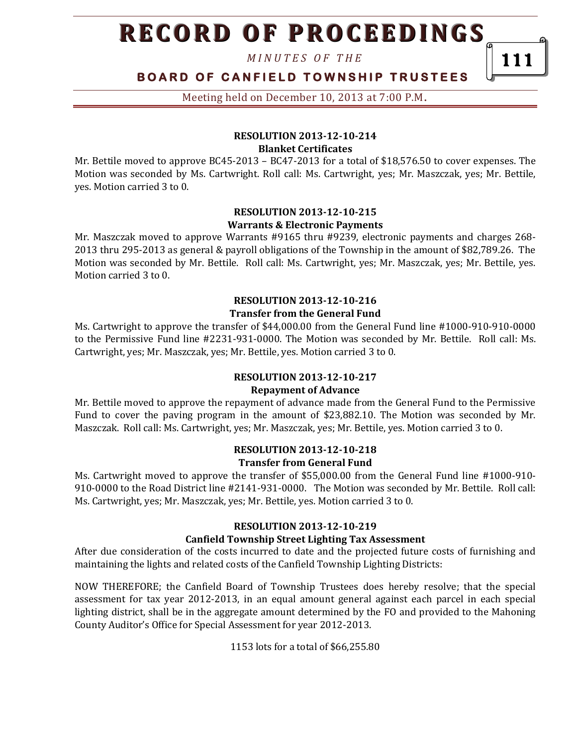*M I N U T E S O F T H E* 

## **B O A R D O F C A N F I E L D T O W N S H I P T R U S T E E S**

111

Meeting held on December 10, 2013 at 7:00 P.M**.**

#### **RESOLUTION 2013-12-10-214 Blanket Certificates**

Mr. Bettile moved to approve BC45-2013 – BC47-2013 for a total of \$18,576.50 to cover expenses. The Motion was seconded by Ms. Cartwright. Roll call: Ms. Cartwright, yes; Mr. Maszczak, yes; Mr. Bettile, yes. Motion carried 3 to 0.

#### **RESOLUTION 2013-12-10-215 Warrants & Electronic Payments**

Mr. Maszczak moved to approve Warrants #9165 thru #9239, electronic payments and charges 268- 2013 thru 295-2013 as general & payroll obligations of the Township in the amount of \$82,789.26. The Motion was seconded by Mr. Bettile. Roll call: Ms. Cartwright, yes; Mr. Maszczak, yes; Mr. Bettile, yes. Motion carried 3 to 0.

#### **RESOLUTION 2013-12-10-216 Transfer from the General Fund**

Ms. Cartwright to approve the transfer of \$44,000.00 from the General Fund line #1000-910-910-0000 to the Permissive Fund line #2231-931-0000. The Motion was seconded by Mr. Bettile. Roll call: Ms. Cartwright, yes; Mr. Maszczak, yes; Mr. Bettile, yes. Motion carried 3 to 0.

## **RESOLUTION 2013-12-10-217**

#### **Repayment of Advance**

Mr. Bettile moved to approve the repayment of advance made from the General Fund to the Permissive Fund to cover the paving program in the amount of \$23,882.10. The Motion was seconded by Mr. Maszczak. Roll call: Ms. Cartwright, yes; Mr. Maszczak, yes; Mr. Bettile, yes. Motion carried 3 to 0.

### **RESOLUTION 2013-12-10-218 Transfer from General Fund**

Ms. Cartwright moved to approve the transfer of \$55,000.00 from the General Fund line #1000-910- 910-0000 to the Road District line #2141-931-0000. The Motion was seconded by Mr. Bettile. Roll call: Ms. Cartwright, yes; Mr. Maszczak, yes; Mr. Bettile, yes. Motion carried 3 to 0.

#### **RESOLUTION 2013-12-10-219**

#### **Canfield Township Street Lighting Tax Assessment**

After due consideration of the costs incurred to date and the projected future costs of furnishing and maintaining the lights and related costs of the Canfield Township Lighting Districts:

NOW THEREFORE; the Canfield Board of Township Trustees does hereby resolve; that the special assessment for tax year 2012-2013, in an equal amount general against each parcel in each special lighting district, shall be in the aggregate amount determined by the FO and provided to the Mahoning County Auditor's Office for Special Assessment for year 2012-2013.

1153 lots for a total of \$66,255.80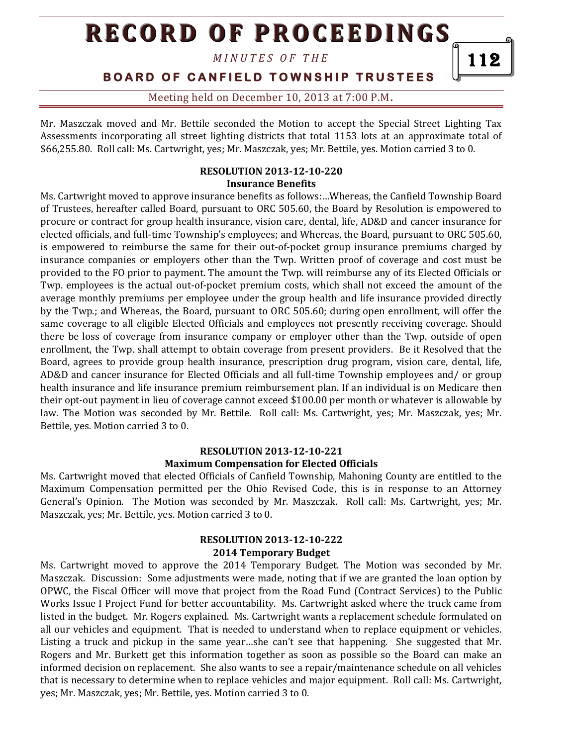*M I N U T E S O F T H E* 

### **BOARD OF CANFIELD TOWNSHIP TRUSTEES**

112

Meeting held on December 10, 2013 at 7:00 P.M**.**

Mr. Maszczak moved and Mr. Bettile seconded the Motion to accept the Special Street Lighting Tax Assessments incorporating all street lighting districts that total 1153 lots at an approximate total of \$66,255.80. Roll call: Ms. Cartwright, yes; Mr. Maszczak, yes; Mr. Bettile, yes. Motion carried 3 to 0.

#### **RESOLUTION 2013-12-10-220 Insurance Benefits**

Ms. Cartwright moved to approve insurance benefits as follows:…Whereas, the Canfield Township Board of Trustees, hereafter called Board, pursuant to ORC 505.60, the Board by Resolution is empowered to procure or contract for group health insurance, vision care, dental, life, AD&D and cancer insurance for elected officials, and full-time Township's employees; and Whereas, the Board, pursuant to ORC 505.60, is empowered to reimburse the same for their out-of-pocket group insurance premiums charged by insurance companies or employers other than the Twp. Written proof of coverage and cost must be provided to the FO prior to payment. The amount the Twp. will reimburse any of its Elected Officials or Twp. employees is the actual out-of-pocket premium costs, which shall not exceed the amount of the average monthly premiums per employee under the group health and life insurance provided directly by the Twp.; and Whereas, the Board, pursuant to ORC 505.60; during open enrollment, will offer the same coverage to all eligible Elected Officials and employees not presently receiving coverage. Should there be loss of coverage from insurance company or employer other than the Twp. outside of open enrollment, the Twp. shall attempt to obtain coverage from present providers. Be it Resolved that the Board, agrees to provide group health insurance, prescription drug program, vision care, dental, life, AD&D and cancer insurance for Elected Officials and all full-time Township employees and/ or group health insurance and life insurance premium reimbursement plan. If an individual is on Medicare then their opt-out payment in lieu of coverage cannot exceed \$100.00 per month or whatever is allowable by law. The Motion was seconded by Mr. Bettile. Roll call: Ms. Cartwright, yes; Mr. Maszczak, yes; Mr. Bettile, yes. Motion carried 3 to 0.

#### **RESOLUTION 2013-12-10-221 Maximum Compensation for Elected Officials**

Ms. Cartwright moved that elected Officials of Canfield Township, Mahoning County are entitled to the Maximum Compensation permitted per the Ohio Revised Code, this is in response to an Attorney General's Opinion. The Motion was seconded by Mr. Maszczak. Roll call: Ms. Cartwright, yes; Mr. Maszczak, yes; Mr. Bettile, yes. Motion carried 3 to 0.

#### **RESOLUTION 2013-12-10-222 2014 Temporary Budget**

Ms. Cartwright moved to approve the 2014 Temporary Budget. The Motion was seconded by Mr. Maszczak. Discussion: Some adjustments were made, noting that if we are granted the loan option by OPWC, the Fiscal Officer will move that project from the Road Fund (Contract Services) to the Public Works Issue I Project Fund for better accountability. Ms. Cartwright asked where the truck came from listed in the budget. Mr. Rogers explained. Ms. Cartwright wants a replacement schedule formulated on all our vehicles and equipment. That is needed to understand when to replace equipment or vehicles. Listing a truck and pickup in the same year…she can't see that happening. She suggested that Mr. Rogers and Mr. Burkett get this information together as soon as possible so the Board can make an informed decision on replacement. She also wants to see a repair/maintenance schedule on all vehicles that is necessary to determine when to replace vehicles and major equipment. Roll call: Ms. Cartwright, yes; Mr. Maszczak, yes; Mr. Bettile, yes. Motion carried 3 to 0.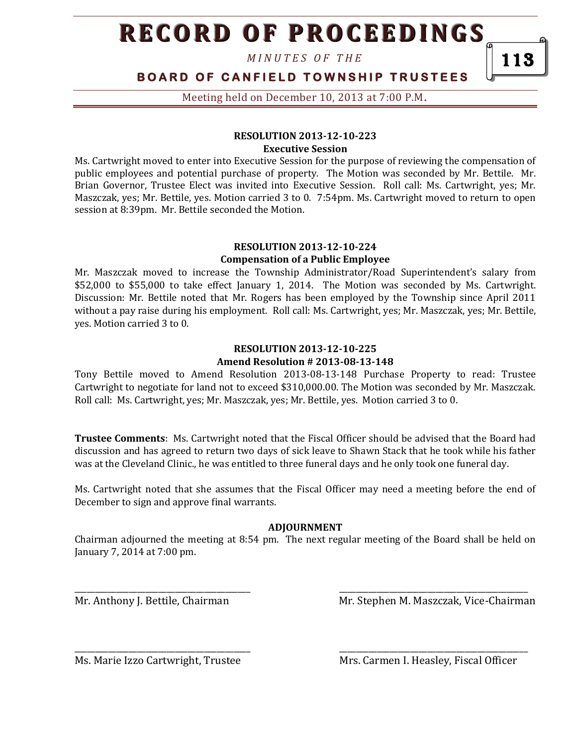*M I N U T E S O F T H E* 

## **B O A R D O F C A N F I E L D T O W N S H I P T R U S T E E S**

Meeting held on December 10, 2013 at 7:00 P.M**.**

## **RESOLUTION 2013-12-10-223**

**Executive Session**

Ms. Cartwright moved to enter into Executive Session for the purpose of reviewing the compensation of public employees and potential purchase of property. The Motion was seconded by Mr. Bettile. Mr. Brian Governor, Trustee Elect was invited into Executive Session. Roll call: Ms. Cartwright, yes; Mr. Maszczak, yes; Mr. Bettile, yes. Motion carried 3 to 0. 7:54pm. Ms. Cartwright moved to return to open session at 8:39pm. Mr. Bettile seconded the Motion.

#### **RESOLUTION 2013-12-10-224 Compensation of a Public Employee**

Mr. Maszczak moved to increase the Township Administrator/Road Superintendent's salary from \$52,000 to \$55,000 to take effect January 1, 2014. The Motion was seconded by Ms. Cartwright. Discussion: Mr. Bettile noted that Mr. Rogers has been employed by the Township since April 2011 without a pay raise during his employment. Roll call: Ms. Cartwright, yes; Mr. Maszczak, yes; Mr. Bettile, yes. Motion carried 3 to 0.

### **RESOLUTION 2013-12-10-225 Amend Resolution # 2013-08-13-148**

Tony Bettile moved to Amend Resolution 2013-08-13-148 Purchase Property to read: Trustee Cartwright to negotiate for land not to exceed \$310,000.00. The Motion was seconded by Mr. Maszczak. Roll call: Ms. Cartwright, yes; Mr. Maszczak, yes; Mr. Bettile, yes. Motion carried 3 to 0.

**Trustee Comments**: Ms. Cartwright noted that the Fiscal Officer should be advised that the Board had discussion and has agreed to return two days of sick leave to Shawn Stack that he took while his father was at the Cleveland Clinic., he was entitled to three funeral days and he only took one funeral day.

Ms. Cartwright noted that she assumes that the Fiscal Officer may need a meeting before the end of December to sign and approve final warrants.

#### **ADJOURNMENT**

Chairman adjourned the meeting at 8:54 pm. The next regular meeting of the Board shall be held on January 7, 2014 at 7:00 pm.

\_\_\_\_\_\_\_\_\_\_\_\_\_\_\_\_\_\_\_\_\_\_\_\_\_\_\_\_\_\_\_\_\_\_\_\_\_\_\_\_\_\_ \_\_\_\_\_\_\_\_\_\_\_\_\_\_\_\_\_\_\_\_\_\_\_\_\_\_\_\_\_\_\_\_\_\_\_\_\_\_\_\_\_\_\_\_\_

\_\_\_\_\_\_\_\_\_\_\_\_\_\_\_\_\_\_\_\_\_\_\_\_\_\_\_\_\_\_\_\_\_\_\_\_\_\_\_\_\_\_ \_\_\_\_\_\_\_\_\_\_\_\_\_\_\_\_\_\_\_\_\_\_\_\_\_\_\_\_\_\_\_\_\_\_\_\_\_\_\_\_\_\_\_\_\_

Mr. Anthony J. Bettile, Chairman Mr. Stephen M. Maszczak, Vice-Chairman

Ms. Marie Izzo Cartwright, Trustee Mrs. Carmen I. Heasley, Fiscal Officer

113